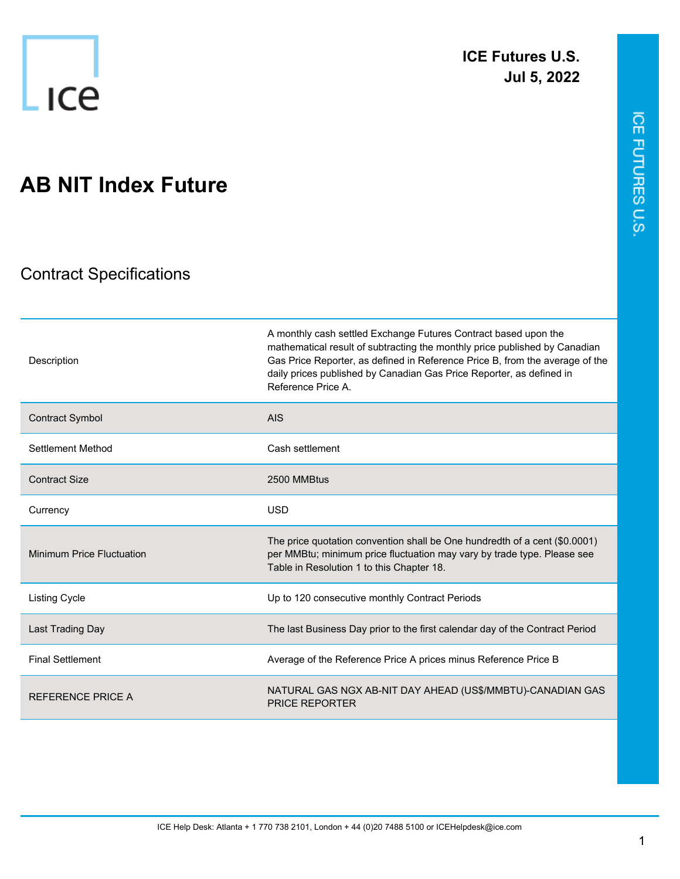

ICE FUTURES U.S.

## **AB NIT Index Future**

## Contract Specifications

| Description                      | A monthly cash settled Exchange Futures Contract based upon the<br>mathematical result of subtracting the monthly price published by Canadian<br>Gas Price Reporter, as defined in Reference Price B, from the average of the<br>daily prices published by Canadian Gas Price Reporter, as defined in<br>Reference Price A. |
|----------------------------------|-----------------------------------------------------------------------------------------------------------------------------------------------------------------------------------------------------------------------------------------------------------------------------------------------------------------------------|
| <b>Contract Symbol</b>           | <b>AIS</b>                                                                                                                                                                                                                                                                                                                  |
| Settlement Method                | Cash settlement                                                                                                                                                                                                                                                                                                             |
| <b>Contract Size</b>             | 2500 MMBtus                                                                                                                                                                                                                                                                                                                 |
| Currency                         | <b>USD</b>                                                                                                                                                                                                                                                                                                                  |
| <b>Minimum Price Fluctuation</b> | The price quotation convention shall be One hundredth of a cent (\$0.0001)<br>per MMBtu; minimum price fluctuation may vary by trade type. Please see<br>Table in Resolution 1 to this Chapter 18.                                                                                                                          |
| <b>Listing Cycle</b>             | Up to 120 consecutive monthly Contract Periods                                                                                                                                                                                                                                                                              |
| Last Trading Day                 | The last Business Day prior to the first calendar day of the Contract Period                                                                                                                                                                                                                                                |
| <b>Final Settlement</b>          | Average of the Reference Price A prices minus Reference Price B                                                                                                                                                                                                                                                             |
| <b>REFERENCE PRICE A</b>         | NATURAL GAS NGX AB-NIT DAY AHEAD (US\$/MMBTU)-CANADIAN GAS<br><b>PRICE REPORTER</b>                                                                                                                                                                                                                                         |